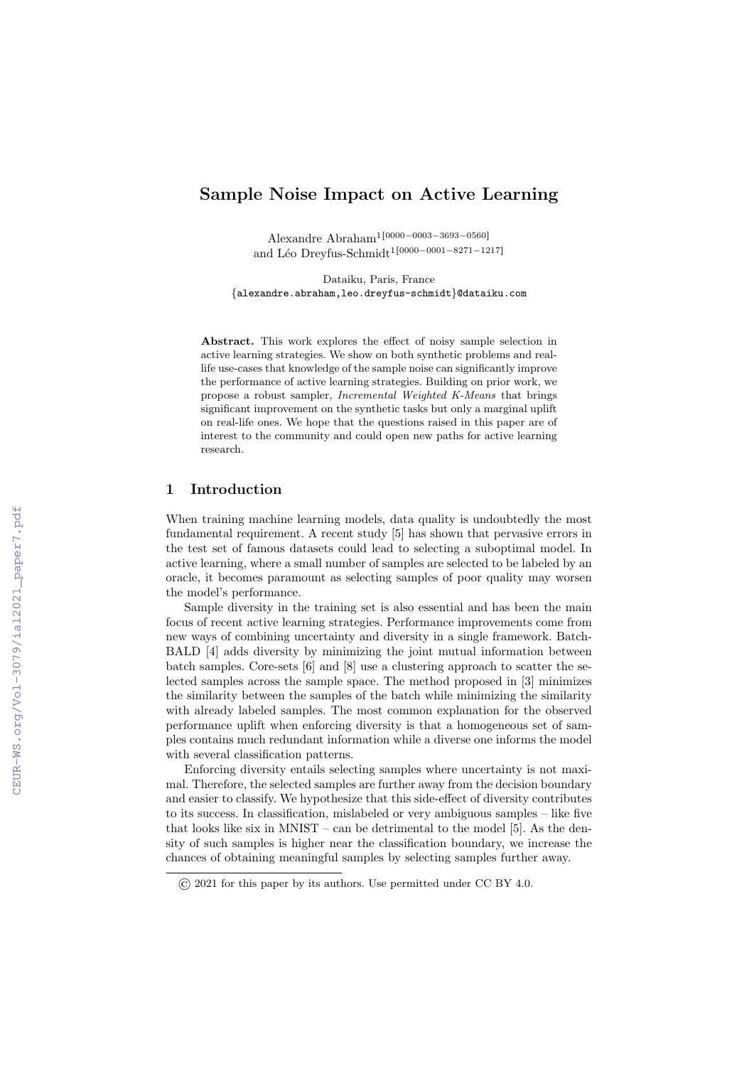# Sample Noise Impact on Active Learning

Alexandre Abraham<sup>1</sup>[0000–0003–3693–0560] and Léo Dreyfus-Schmidt<sup>1[0000-0001-8271-1217]</sup>

Dataiku, Paris, France {alexandre.abraham,leo.dreyfus-schmidt}@dataiku.com

Abstract. This work explores the effect of noisy sample selection in active learning strategies. We show on both synthetic problems and reallife use-cases that knowledge of the sample noise can significantly improve the performance of active learning strategies. Building on prior work, we propose a robust sampler, Incremental Weighted K-Means that brings significant improvement on the synthetic tasks but only a marginal uplift on real-life ones. We hope that the questions raised in this paper are of interest to the community and could open new paths for active learning research.

### 1 Introduction

When training machine learning models, data quality is undoubtedly the most fundamental requirement. A recent study [5] has shown that pervasive errors in the test set of famous datasets could lead to selecting a suboptimal model. In active learning, where a small number of samples are selected to be labeled by an oracle, it becomes paramount as selecting samples of poor quality may worsen the model's performance.

Sample diversity in the training set is also essential and has been the main focus of recent active learning strategies. Performance improvements come from new ways of combining uncertainty and diversity in a single framework. Batch-BALD [4] adds diversity by minimizing the joint mutual information between batch samples. Core-sets [6] and [8] use a clustering approach to scatter the selected samples across the sample space. The method proposed in [3] minimizes the similarity between the samples of the batch while minimizing the similarity with already labeled samples. The most common explanation for the observed performance uplift when enforcing diversity is that a homogeneous set of samples contains much redundant information while a diverse one informs the model with several classification patterns.

Enforcing diversity entails selecting samples where uncertainty is not maximal. Therefore, the selected samples are further away from the decision boundary and easier to classify. We hypothesize that this side-effect of diversity contributes to its success. In classification, mislabeled or very ambiguous samples – like five that looks like six in MNIST – can be detrimental to the model [5]. As the density of such samples is higher near the classification boundary, we increase the chances of obtaining meaningful samples by selecting samples further away.

<sup>©</sup> 2021 for this paper by its authors. Use permitted under CC BY 4.0.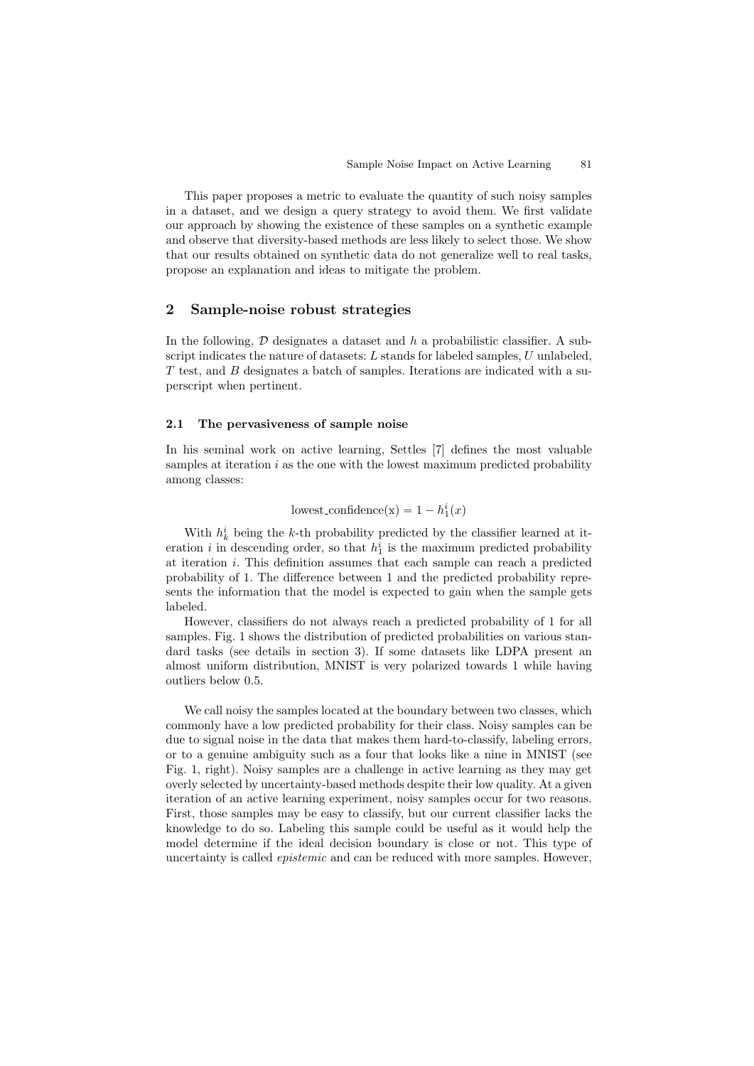This paper proposes a metric to evaluate the quantity of such noisy samples in a dataset, and we design a query strategy to avoid them. We first validate our approach by showing the existence of these samples on a synthetic example and observe that diversity-based methods are less likely to select those. We show that our results obtained on synthetic data do not generalize well to real tasks, propose an explanation and ideas to mitigate the problem.

## 2 Sample-noise robust strategies

In the following,  $D$  designates a dataset and h a probabilistic classifier. A subscript indicates the nature of datasets:  $L$  stands for labeled samples,  $U$  unlabeled, T test, and B designates a batch of samples. Iterations are indicated with a superscript when pertinent.

#### 2.1 The pervasiveness of sample noise

In his seminal work on active learning, Settles [7] defines the most valuable samples at iteration  $i$  as the one with the lowest maximum predicted probability among classes:

lowest\_confidence(x) =  $1 - h_1^i(x)$ 

With  $h_k^i$  being the k-th probability predicted by the classifier learned at iteration *i* in descending order, so that  $h_1^i$  is the maximum predicted probability at iteration i. This definition assumes that each sample can reach a predicted probability of 1. The difference between 1 and the predicted probability represents the information that the model is expected to gain when the sample gets labeled.

However, classifiers do not always reach a predicted probability of 1 for all samples. Fig. 1 shows the distribution of predicted probabilities on various standard tasks (see details in section 3). If some datasets like LDPA present an almost uniform distribution, MNIST is very polarized towards 1 while having outliers below 0.5.

We call noisy the samples located at the boundary between two classes, which commonly have a low predicted probability for their class. Noisy samples can be due to signal noise in the data that makes them hard-to-classify, labeling errors, or to a genuine ambiguity such as a four that looks like a nine in MNIST (see Fig. 1, right). Noisy samples are a challenge in active learning as they may get overly selected by uncertainty-based methods despite their low quality. At a given iteration of an active learning experiment, noisy samples occur for two reasons. First, those samples may be easy to classify, but our current classifier lacks the knowledge to do so. Labeling this sample could be useful as it would help the model determine if the ideal decision boundary is close or not. This type of uncertainty is called *epistemic* and can be reduced with more samples. However,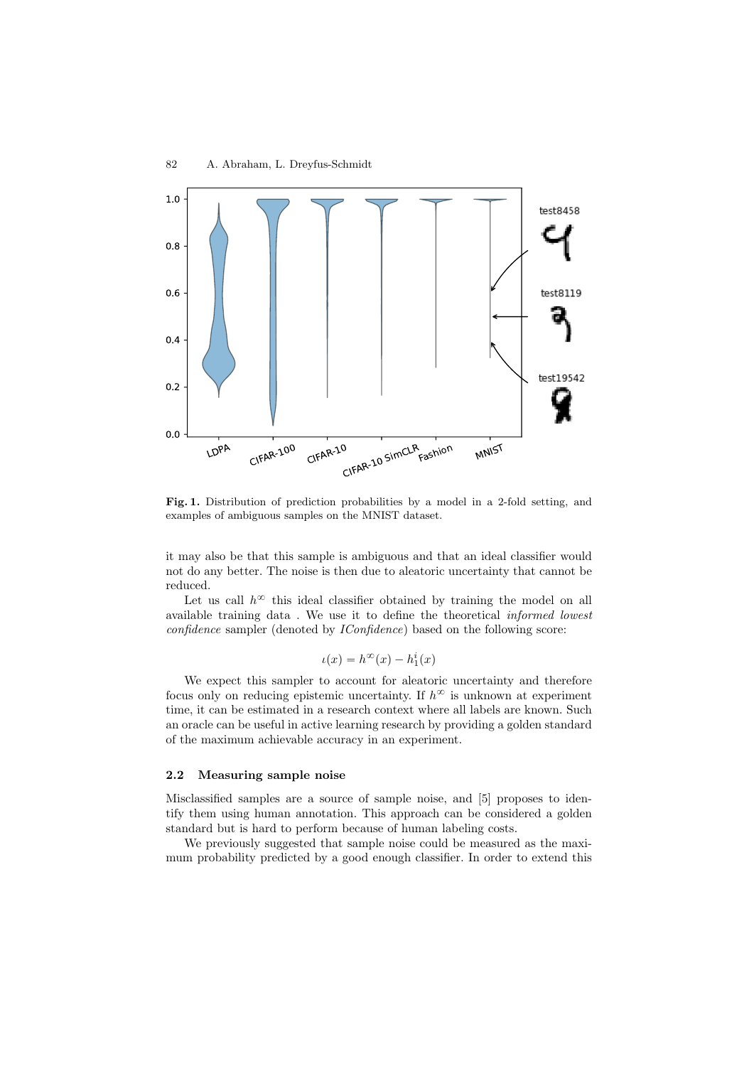

Fig. 1. Distribution of prediction probabilities by a model in a 2-fold setting, and examples of ambiguous samples on the MNIST dataset.

it may also be that this sample is ambiguous and that an ideal classifier would not do any better. The noise is then due to aleatoric uncertainty that cannot be reduced.

Let us call  $h^{\infty}$  this ideal classifier obtained by training the model on all available training data . We use it to define the theoretical informed lowest confidence sampler (denoted by IConfidence) based on the following score:

$$
u(x) = h^{\infty}(x) - h_1^i(x)
$$

We expect this sampler to account for aleatoric uncertainty and therefore focus only on reducing epistemic uncertainty. If  $h^{\infty}$  is unknown at experiment time, it can be estimated in a research context where all labels are known. Such an oracle can be useful in active learning research by providing a golden standard of the maximum achievable accuracy in an experiment.

#### 2.2 Measuring sample noise

Misclassified samples are a source of sample noise, and [5] proposes to identify them using human annotation. This approach can be considered a golden standard but is hard to perform because of human labeling costs.

We previously suggested that sample noise could be measured as the maximum probability predicted by a good enough classifier. In order to extend this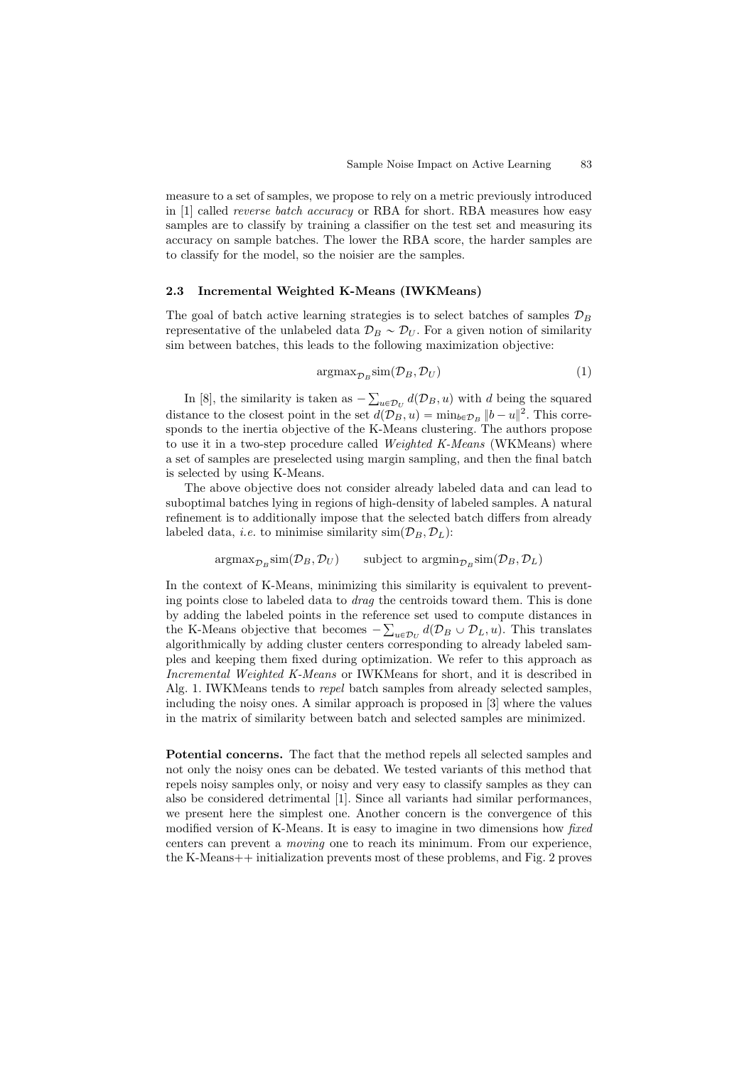measure to a set of samples, we propose to rely on a metric previously introduced in [1] called reverse batch accuracy or RBA for short. RBA measures how easy samples are to classify by training a classifier on the test set and measuring its accuracy on sample batches. The lower the RBA score, the harder samples are to classify for the model, so the noisier are the samples.

#### 2.3 Incremental Weighted K-Means (IWKMeans)

The goal of batch active learning strategies is to select batches of samples  $\mathcal{D}_B$ representative of the unlabeled data  $\mathcal{D}_B \sim \mathcal{D}_U$ . For a given notion of similarity sim between batches, this leads to the following maximization objective:

$$
\operatorname{argmax}_{\mathcal{D}_B} \operatorname{sim}(\mathcal{D}_B, \mathcal{D}_U) \tag{1}
$$

In [8], the similarity is taken as  $-\sum_{u\in\mathcal{D}_U}d(\mathcal{D}_B, u)$  with d being the squared distance to the closest point in the set  $d(D_B, u) = \min_{b \in \mathcal{D}_B} ||b - u||^2$ . This corresponds to the inertia objective of the K-Means clustering. The authors propose to use it in a two-step procedure called *Weighted K-Means* (WKMeans) where a set of samples are preselected using margin sampling, and then the final batch is selected by using K-Means.

The above objective does not consider already labeled data and can lead to suboptimal batches lying in regions of high-density of labeled samples. A natural refinement is to additionally impose that the selected batch differs from already labeled data, *i.e.* to minimise similarity  $\text{sim}(\mathcal{D}_B, \mathcal{D}_L)$ :

> $\arg\max_{\mathcal{D}_B} \sin(\mathcal{D}_B, \mathcal{D}_U)$  $\text{sim}(\mathcal{D}_B, \mathcal{D}_U)$  subject to  $\text{argmin}_{\mathcal{D}_B} \text{sim}(\mathcal{D}_B, \mathcal{D}_L)$

In the context of K-Means, minimizing this similarity is equivalent to preventing points close to labeled data to drag the centroids toward them. This is done by adding the labeled points in the reference set used to compute distances in the K-Means objective that becomes  $-\sum_{u\in\mathcal{D}_U} d(\mathcal{D}_B \cup \mathcal{D}_L, u)$ . This translates algorithmically by adding cluster centers corresponding to already labeled samples and keeping them fixed during optimization. We refer to this approach as Incremental Weighted K-Means or IWKMeans for short, and it is described in Alg. 1. IWKMeans tends to repel batch samples from already selected samples, including the noisy ones. A similar approach is proposed in [3] where the values in the matrix of similarity between batch and selected samples are minimized.

Potential concerns. The fact that the method repels all selected samples and not only the noisy ones can be debated. We tested variants of this method that repels noisy samples only, or noisy and very easy to classify samples as they can also be considered detrimental [1]. Since all variants had similar performances, we present here the simplest one. Another concern is the convergence of this modified version of K-Means. It is easy to imagine in two dimensions how fixed centers can prevent a moving one to reach its minimum. From our experience, the K-Means++ initialization prevents most of these problems, and Fig. 2 proves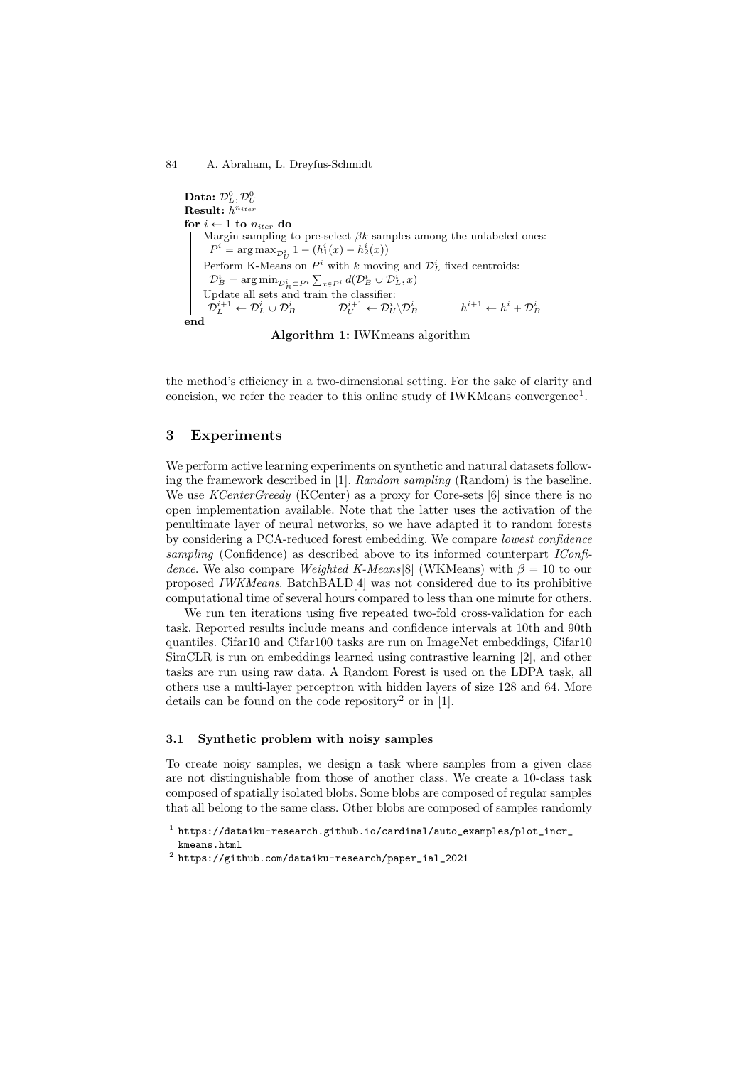#### $\text{mid}$ 84 A. Abraham, L. Dreyfus-Schmidt

```
Data: \mathcal{D}_L^0, \mathcal{D}_U^0Result: h^{n_{iter}}for i \leftarrow 1 to n_{iter} do
Margin sampling to pre-select \beta k samples among the unlabeled ones:
  P^i = \arg \max_{\mathcal{D}_U^i} 1 - (h_1^i(x) - h_2^i(x))Perform K-Means on P^i with k moving and \mathcal{D}_L^i fixed centroids:
  \mathcal{D}_B^i = \arg\min_{\mathcal{D}_B^i \subset P^i} \sum_{x \in P^i} d(\mathcal{D}_B^i \cup \mathcal{D}_L^i, x)Update all sets and train the classifier:
  {\mathcal{D}}_L^{i+1} \leftarrow {\mathcal{D}}_L^i \cup {\mathcal{D}}_B^i \hspace{1cm} {\mathcal{D}}_U^{i+1} \leftarrow {\mathcal{D}}_U^i \backslash {\mathcal{D}}_I^ih^{i+1} \leftarrow h^i + \mathcal{D}_B^iend
```
Algorithm 1: IWKmeans algorithm

the method's efficiency in a two-dimensional setting. For the sake of clarity and concision, we refer the reader to this online study of IWKMeans convergence<sup>1</sup>.

## 3 Experiments

We perform active learning experiments on synthetic and natural datasets following the framework described in [1]. Random sampling (Random) is the baseline. We use *KCenterGreedy* (KCenter) as a proxy for Core-sets [6] since there is no open implementation available. Note that the latter uses the activation of the penultimate layer of neural networks, so we have adapted it to random forests by considering a PCA-reduced forest embedding. We compare lowest confidence sampling (Confidence) as described above to its informed counterpart *IConfi*dence. We also compare Weighted K-Means[8] (WKMeans) with  $\beta = 10$  to our proposed IWKMeans. BatchBALD[4] was not considered due to its prohibitive computational time of several hours compared to less than one minute for others.

We run ten iterations using five repeated two-fold cross-validation for each task. Reported results include means and confidence intervals at 10th and 90th quantiles. Cifar10 and Cifar100 tasks are run on ImageNet embeddings, Cifar10 SimCLR is run on embeddings learned using contrastive learning [2], and other tasks are run using raw data. A Random Forest is used on the LDPA task, all others use a multi-layer perceptron with hidden layers of size 128 and 64. More details can be found on the code repository<sup>2</sup> or in [1].

## 3.1 Synthetic problem with noisy samples

To create noisy samples, we design a task where samples from a given class are not distinguishable from those of another class. We create a 10-class task composed of spatially isolated blobs. Some blobs are composed of regular samples that all belong to the same class. Other blobs are composed of samples randomly

 $^{\rm 1}$  https://dataiku-research.github.io/cardinal/auto\_examples/plot\_incr\_ kmeans.html

 $^{\rm 2}$  https://github.com/dataiku-research/paper\_ial\_2021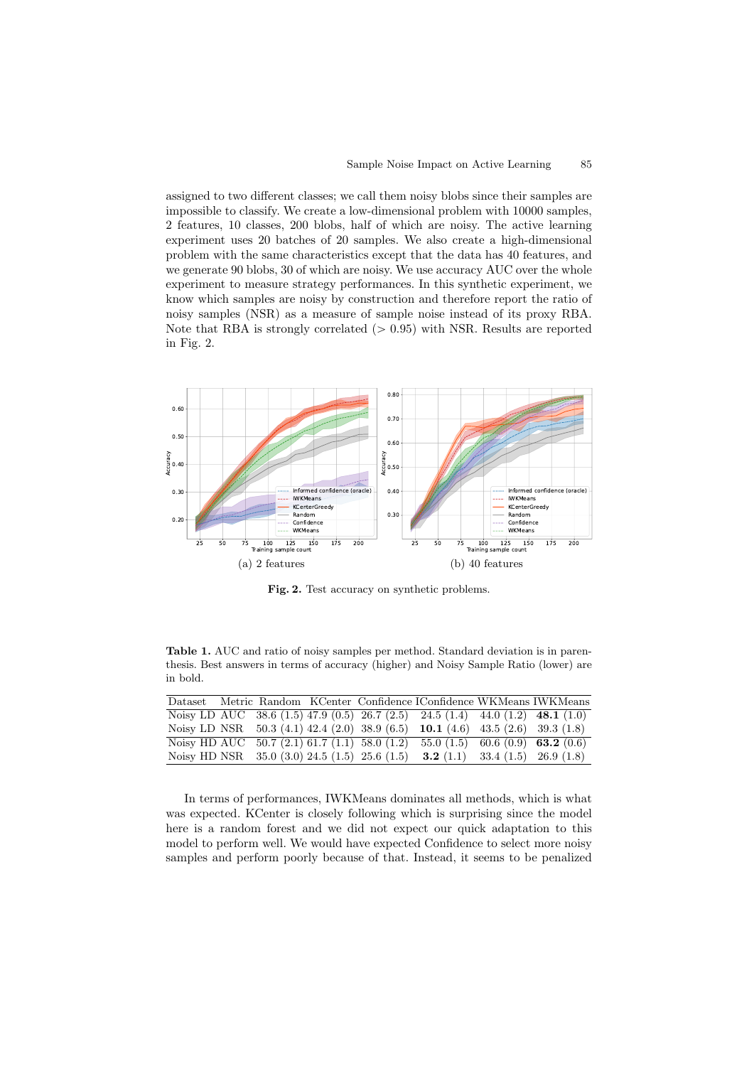assigned to two different classes; we call them noisy blobs since their samples are impossible to classify. We create a low-dimensional problem with 10000 samples, 2 features, 10 classes, 200 blobs, half of which are noisy. The active learning experiment uses 20 batches of 20 samples. We also create a high-dimensional problem with the same characteristics except that the data has 40 features, and we generate 90 blobs, 30 of which are noisy. We use accuracy AUC over the whole experiment to measure strategy performances. In this synthetic experiment, we know which samples are noisy by construction and therefore report the ratio of noisy samples (NSR) as a measure of sample noise instead of its proxy RBA. Note that RBA is strongly correlated  $(> 0.95)$  with NSR. Results are reported in Fig. 2.



Fig. 2. Test accuracy on synthetic problems.

Table 1. AUC and ratio of noisy samples per method. Standard deviation is in parenthesis. Best answers in terms of accuracy (higher) and Noisy Sample Ratio (lower) are in bold.

|  |  |                                                 | Dataset Metric Random KCenter Confidence IConfidence WKMeans IWKMeans          |  |
|--|--|-------------------------------------------------|--------------------------------------------------------------------------------|--|
|  |  |                                                 | Noisy LD AUC 38.6 (1.5) 47.9 (0.5) 26.7 (2.5) 24.5 (1.4) 44.0 (1.2) 48.1 (1.0) |  |
|  |  | Noisy LD NSR $50.3(4.1)42.4(2.0)38.9(6.5)$      | <b>10.1</b> (4.6) 43.5 (2.6) 39.3 (1.8)                                        |  |
|  |  | Noisy HD AUC $50.7(2.1)61.7(1.1)58.0(1.2)$      | 55.0 (1.5) 60.6 (0.9) 63.2 (0.6)                                               |  |
|  |  | Noisy HD NSR $35.0$ (3.0) 24.5 (1.5) 25.6 (1.5) | <b>3.2</b> (1.1) 33.4 (1.5) 26.9 (1.8)                                         |  |

In terms of performances, IWKMeans dominates all methods, which is what was expected. KCenter is closely following which is surprising since the model here is a random forest and we did not expect our quick adaptation to this model to perform well. We would have expected Confidence to select more noisy samples and perform poorly because of that. Instead, it seems to be penalized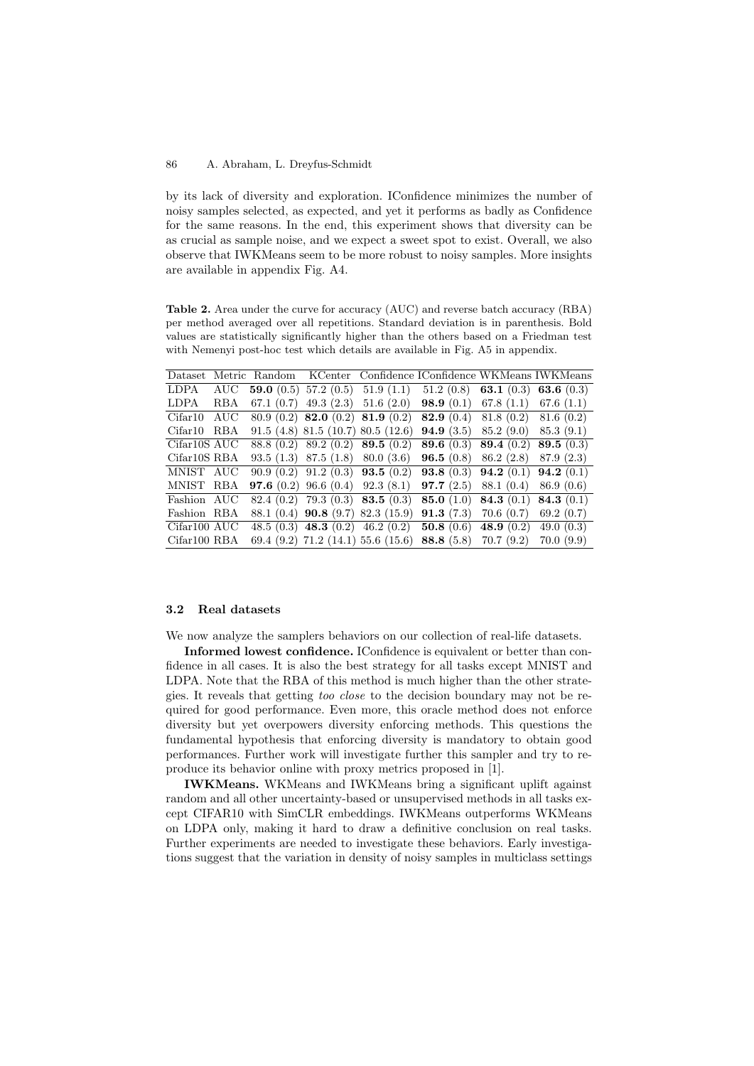#### $\text{midt}$ 86 A. Abraham, L. Dreyfus-Schmidt

by its lack of diversity and exploration. IConfidence minimizes the number of noisy samples selected, as expected, and yet it performs as badly as Confidence for the same reasons. In the end, this experiment shows that diversity can be as crucial as sample noise, and we expect a sweet spot to exist. Overall, we also observe that IWKMeans seem to be more robust to noisy samples. More insights are available in appendix Fig. A4.

Table 2. Area under the curve for accuracy (AUC) and reverse batch accuracy (RBA) per method averaged over all repetitions. Standard deviation is in parenthesis. Bold values are statistically significantly higher than the others based on a Friedman test with Nemenyi post-hoc test which details are available in Fig. A5 in appendix.

| Dataset      |     |                                             |                                                     | Metric Random KCenter Confidence IConfidence WKMeans IWKMeans                          |           |
|--------------|-----|---------------------------------------------|-----------------------------------------------------|----------------------------------------------------------------------------------------|-----------|
| LDPA         | AUC |                                             |                                                     | <b>59.0</b> (0.5) 57.2 (0.5) 51.9 (1.1) 51.2 (0.8) <b>63.1</b> (0.3) <b>63.6</b> (0.3) |           |
| LDPA         | RBA |                                             | 67.1 $(0.7)$ 49.3 $(2.3)$ 51.6 $(2.0)$              | <b>98.9</b> (0.1) 67.8 (1.1) 67.6 (1.1)                                                |           |
| Cifar10      | AUC |                                             | $80.9(0.2)$ <b>82.0</b> $(0.2)$ <b>81.9</b> $(0.2)$ | <b>82.9</b> (0.4) 81.8 (0.2) 81.6 (0.2)                                                |           |
| Cifar10      | RBA |                                             | $91.5$ (4.8) 81.5 (10.7) 80.5 (12.6)                | <b>94.9</b> (3.5) 85.2 (9.0) 85.3 (9.1)                                                |           |
| Cifar10S AUC |     | $88.8(0.2)$ $89.2(0.2)$ <b>89.5</b> $(0.2)$ |                                                     | <b>89.6</b> (0.3) <b>89.4</b> (0.2) <b>89.5</b> (0.3)                                  |           |
| Cifar10S RBA |     | $93.5(1.3)$ 87.5 (1.8) 80.0 (3.6)           |                                                     | <b>96.5</b> (0.8) 86.2 (2.8) 87.9 (2.3)                                                |           |
| MNIST AUC    |     |                                             | $90.9(0.2)$ $91.2(0.3)$ <b>93.5</b> $(0.2)$         | <b>93.8</b> (0.3) <b>94.2</b> (0.1) <b>94.2</b> (0.1)                                  |           |
| MNIST RBA    |     | <b>97.6</b> (0.2) 96.6 (0.4) 92.3 (8.1)     |                                                     | <b>97.7</b> (2.5) 88.1 (0.4) 86.9 (0.6)                                                |           |
| Fashion AUC  |     |                                             | $82.4(0.2)$ 79.3 $(0.3)$ 83.5 $(0.3)$               | <b>85.0</b> (1.0) <b>84.3</b> (0.1) <b>84.3</b> (0.1)                                  |           |
| Fashion RBA  |     |                                             | $88.1(0.4)$ 90.8 (9.7) 82.3 (15.9)                  | <b>91.3</b> (7.3) 70.6 (0.7)                                                           | 69.2(0.7) |
| Cifar100 AUC |     |                                             | 48.5 (0.3) 48.3 (0.2) 46.2 (0.2)                    | <b>50.8</b> (0.6) <b>48.9</b> (0.2) <b>49.0</b> (0.3)                                  |           |
| Cifar100 RBA |     |                                             |                                                     | 69.4 (9.2) 71.2 (14.1) 55.6 (15.6) 88.8 (5.8) 70.7 (9.2)                               | 70.0(9.9) |

## 3.2 Real datasets

We now analyze the samplers behaviors on our collection of real-life datasets.

Informed lowest confidence. IConfidence is equivalent or better than confidence in all cases. It is also the best strategy for all tasks except MNIST and LDPA. Note that the RBA of this method is much higher than the other strategies. It reveals that getting too close to the decision boundary may not be required for good performance. Even more, this oracle method does not enforce diversity but yet overpowers diversity enforcing methods. This questions the fundamental hypothesis that enforcing diversity is mandatory to obtain good performances. Further work will investigate further this sampler and try to reproduce its behavior online with proxy metrics proposed in [1].

IWKMeans. WKMeans and IWKMeans bring a significant uplift against random and all other uncertainty-based or unsupervised methods in all tasks except CIFAR10 with SimCLR embeddings. IWKMeans outperforms WKMeans on LDPA only, making it hard to draw a definitive conclusion on real tasks. Further experiments are needed to investigate these behaviors. Early investigations suggest that the variation in density of noisy samples in multiclass settings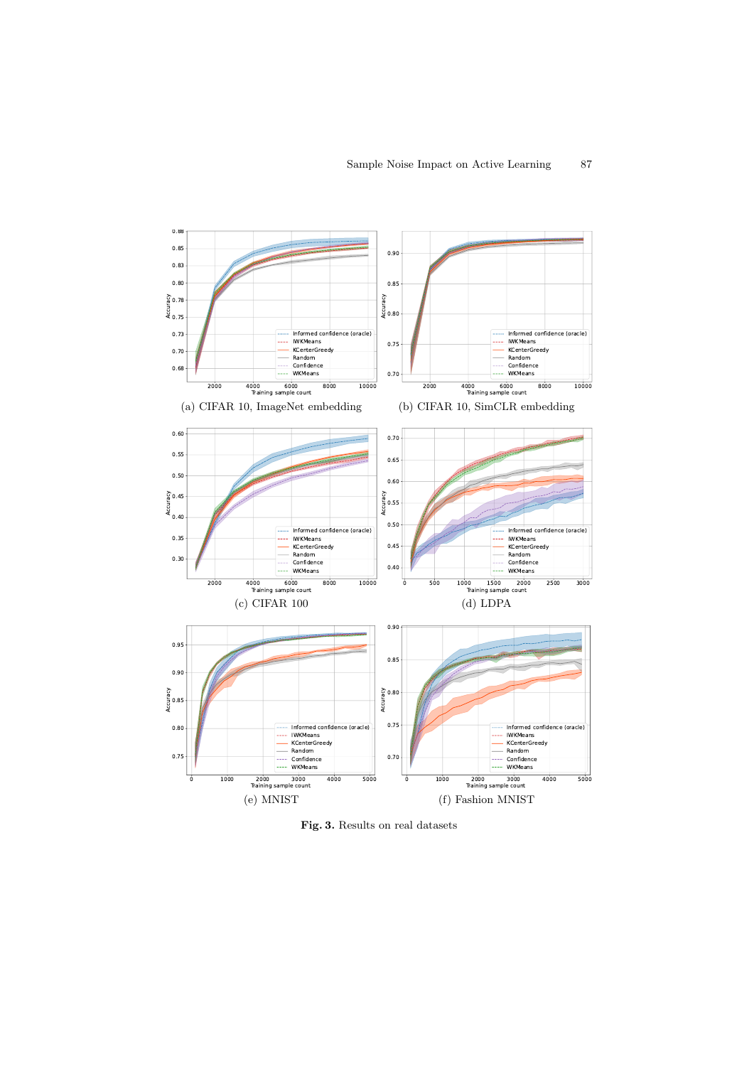

Fig. 3. Results on real datasets